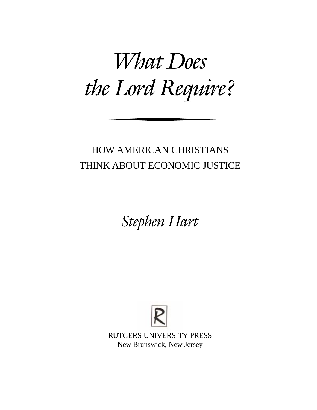# What Does the Lord Require?

### HOW AMERICAN CHRISTIANS THINK ABOUT ECONOMIC JUSTICE

## Stephen Hart



RUTGERS UNIVERSITY PRESS New Brunswick, New Jersey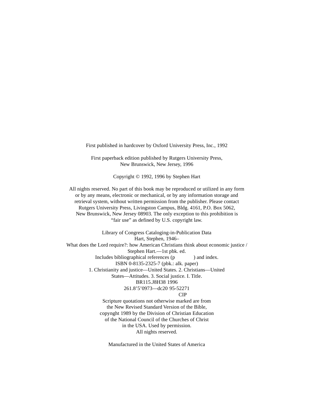First published in hardcover by Oxford University Press, Inc., 1992

First paperback edition published by Rutgers University Press, New Brunswick, New Jersey, 1996

Copyright © 1992, 1996 by Stephen Hart

All nights reserved. No part of this book may be reproduced or utilized in any form or by any means, electronic or mechanical, or by any information storage and retrieval system, without written permission from the publisher. Please contact Rutgers University Press, Livingston Campus, Bldg. 4161, P.O. Box 5062, New Brunswick, New Jersey 08903. The only exception to this prohibition is "fair use" as defined by U.S. copyright law.

Library of Congress Cataloging-in-Publication Data Hart, Stephen, 1946– What does the Lord require?: how American Christians think about economic justice / Stephen Hart.—1st pbk. ed. Includes bibliographical references (p ) and index. ISBN 0-8135-2325-7 (pbk.: alk. paper) 1. Christianity and justice—United States. 2. Christians—United States—Attitudes. 3. Social justice. I. Title. BR115.J8H38 1996 261.8'5'0973—dc20 95-52271 CIP Scripture quotations not otherwise marked are from the New Revised Standard Version of the Bible, copynght 1989 by the Division of Christian Education of the National Council of the Churches of Christ in the USA. Used by permission.

All nights reserved.

Manufactured in the United States of America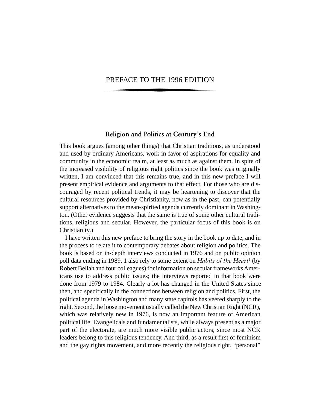#### PREFACE TO THE 1996 EDITION

#### Religion and Politics at Century's End

This book argues (among other things) that Christian traditions, as understood and used by ordinary Americans, work in favor of aspirations for equality and community in the economic realm, at least as much as against them. In spite of the increased visibility of religious right politics since the book was originally written, I am convinced that this remains true, and in this new preface I will present empirical evidence and arguments to that effect. For those who are discouraged by recent political trends, it may be heartening to discover that the cultural resources provided by Christianity, now as in the past, can potentially support alternatives to the mean-spirited agenda currently dominant in Washington. (Other evidence suggests that the same is true of some other cultural traditions, religious and secular. However, the particular focus of this book is on Christianity.)

I have written this new preface to bring the story in the book up to date, and in the process to relate it to contemporary debates about religion and politics. The book is based on in-depth interviews conducted in 1976 and on public opinion poll data ending in 1989. 1 also rely to some extent on Habits of the Heart<sup>1</sup> (by Robert Bellah and four colleagues) for information on secular frameworks Americans use to address public issues; the interviews reported in that book were done from 1979 to 1984. Clearly a lot has changed in the United States since then, and specifically in the connections between religion and politics. First, the political agenda in Washington and many state capitols has veered sharply to the right. Second, the loose movement usually called the New Christian Right (NCR), which was relatively new in 1976, is now an important feature of American political life. Evangelicals and fundamentalists, while always present as a major part of the electorate, are much more visible public actors, since most NCR leaders belong to this religious tendency. And third, as a result first of feminism and the gay rights movement, and more recently the religious right, "personal"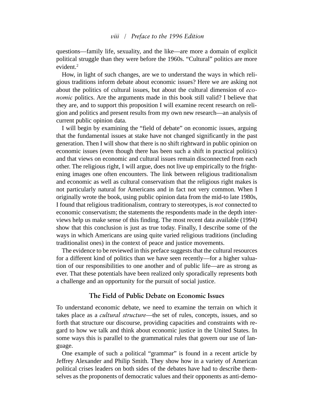questions—family life, sexuality, and the like—are more a domain of explicit political struggle than they were before the 1960s. "Cultural" politics are more evident.<sup>2</sup>

How, in light of such changes, are we to understand the ways in which religious traditions inform debate about economic issues? Here we are asking not about the politics of cultural issues, but about the cultural dimension of economic politics. Are the arguments made in this book still valid? I believe that they are, and to support this proposition I will examine recent research on religion and politics and present results from my own new research—an analysis of current public opinion data.

I will begin by examining the "field of debate" on economic issues, arguing that the fundamental issues at stake have not changed significantly in the past generation. Then I will show that there is no shift rightward in public opinion on economic issues (even though there has been such a shift in practical politics) and that views on economic and cultural issues remain disconnected from each other. The religious right, I will argue, does not live up empirically to the frightening images one often encounters. The link between religious traditionalism and economic as well as cultural conservatism that the religious right makes is not particularly natural for Americans and in fact not very common. When I originally wrote the book, using public opinion data from the mid-to late 1980s, I found that religious traditionalism, contrary to stereotypes, is not connected to economic conservatism; the statements the respondents made in the depth interviews help us make sense of this finding. The most recent data available (1994) show that this conclusion is just as true today. Finally, I describe some of the ways in which Americans are using quite varied religious traditions (including traditionalist ones) in the context of peace and justice movements.

The evidence to be reviewed in this preface suggests that the cultural resources for a different kind of politics than we have seen recently—for a higher valuation of our responsibilities to one another and of public life—are as strong as ever. That these potentials have been realized only sporadically represents both a challenge and an opportunity for the pursuit of social justice.

#### The Field of Public Debate on Economic Issues

To understand economic debate, we need to examine the terrain on which it takes place as a cultural structure—the set of rules, concepts, issues, and so forth that structure our discourse, providing capacities and constraints with regard to how we talk and think about economic justice in the United States. In some ways this is parallel to the grammatical rules that govern our use of language.

One example of such a political "grammar" is found in a recent article by Jeffrey Alexander and Philip Smith. They show how in a variety of American political crises leaders on both sides of the debates have had to describe themselves as the proponents of democratic values and their opponents as anti-demo-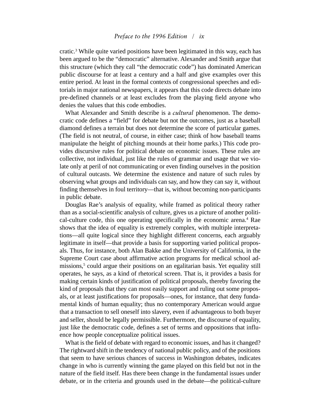#### Preface to the 1996 Edition / ix

cratic.3 While quite varied positions have been legitimated in this way, each has been argued to be the "democratic" alternative. Alexander and Smith argue that this structure (which they call "the democratic code") has dominated American public discourse for at least a century and a half and give examples over this entire period. At least in the formal contexts of congressional speeches and editorials in major national newspapers, it appears that this code directs debate into pre-defined channels or at least excludes from the playing field anyone who denies the values that this code embodies.

What Alexander and Smith describe is a *cultural* phenomenon. The democratic code defines a "field" for debate but not the outcomes, just as a baseball diamond defines a terrain but does not determine the score of particular games. (The field is not neutral, of course, in either case; think of how baseball teams manipulate the height of pitching mounds at their home parks.) This code provides discursive rules for political debate on economic issues. These rules are collective, not individual, just like the rules of grammar and usage that we violate only at peril of not communicating or even finding ourselves in the position of cultural outcasts. We determine the existence and nature of such rules by observing what groups and individuals can say, and how they can say it, without finding themselves in foul territory—that is, without becoming non-participants in public debate.

Douglas Rae's analysis of equality, while framed as political theory rather than as a social-scientific analysis of culture, gives us a picture of another political-culture code, this one operating specifically in the economic arena.<sup>4</sup> Rae shows that the idea of equality is extremely complex, with multiple interpretations—all quite logical since they highlight different concerns, each arguably legitimate in itself—that provide a basis for supporting varied political proposals. Thus, for instance, both Alan Bakke and the University of California, in the Supreme Court case about affirmative action programs for medical school admissions,<sup>5</sup> could argue their positions on an egalitarian basis. Yet equality still operates, he says, as a kind of rhetorical screen. That is, it provides a basis for making certain kinds of justification of political proposals, thereby favoring the kind of proposals that they can most easily support and ruling out some proposals, or at least justifications for proposals—ones, for instance, that deny fundamental kinds of human equality; thus no contemporary American would argue that a transaction to sell oneself into slavery, even if advantageous to both buyer and seller, should be legally permissible. Furthermore, the discourse of equality, just like the democratic code, defines a set of terms and oppositions that influence how people conceptualize political issues.

What is the field of debate with regard to economic issues, and has it changed? The rightward shift in the tendency of national public policy, and of the positions that seem to have serious chances of success in Washington debates, indicates change in who is currently winning the game played on this field but not in the nature of the field itself. Has there been change in the fundamental issues under debate, or in the criteria and grounds used in the debate—the political-culture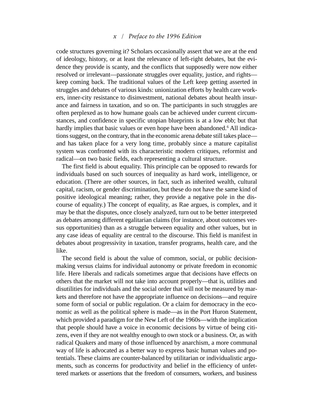#### x / Preface to the 1996 Edition

code structures governing it? Scholars occasionally assert that we are at the end of ideology, history, or at least the relevance of left-right debates, but the evidence they provide is scanty, and the conflicts that supposedly were now either resolved or irrelevant—passionate struggles over equality, justice, and rights keep coming back. The traditional values of the Left keep getting asserted in struggles and debates of various kinds: unionization efforts by health care workers, inner-city resistance to disinvestment, national debates about health insurance and fairness in taxation, and so on. The participants in such struggles are often perplexed as to how humane goals can be achieved under current circumstances, and confidence in specific utopian blueprints is at a low ebb; but that hardly implies that basic values or even hope have been abandoned.<sup>6</sup> All indications suggest, on the contrary, that in the economic arena debate still takes place and has taken place for a very long time, probably since a mature capitalist system was confronted with its characteristic modern critiques, reformist and radical—on two basic fields, each representing a cultural structure.

The first field is about equality. This principle can be opposed to rewards for individuals based on such sources of inequality as hard work, intelligence, or education. (There are other sources, in fact, such as inherited wealth, cultural capital, racism, or gender discrimination, but these do not have the same kind of positive ideological meaning; rather, they provide a negative pole in the discourse of equality.) The concept of equality, as Rae argues, is complex, and it may be that the disputes, once closely analyzed, turn out to be better interpreted as debates among different egalitarian claims (for instance, about outcomes versus opportunities) than as a struggle between equality and other values, but in any case ideas of equality are central to the discourse. This field is manifest in debates about progressivity in taxation, transfer programs, health care, and the like.

The second field is about the value of common, social, or public decisionmaking versus claims for individual autonomy or private freedom in economic life. Here liberals and radicals sometimes argue that decisions have effects on others that the market will not take into account properly—that is, utilities and disutilities for individuals and the social order that will not be measured by markets and therefore not have the appropriate influence on decisions—and require some form of social or public regulation. Or a claim for democracy in the economic as well as the political sphere is made—as in the Port Huron Statement, which provided a paradigm for the New Left of the 1960s—with the implication that people should have a voice in economic decisions by virtue of being citizens, even if they are not wealthy enough to own stock or a business. Or, as with radical Quakers and many of those influenced by anarchism, a more communal way of life is advocated as a better way to express basic human values and potentials. These claims are counter-balanced by utilitarian or individualistic arguments, such as concerns for productivity and belief in the efficiency of unfettered markets or assertions that the freedom of consumers, workers, and business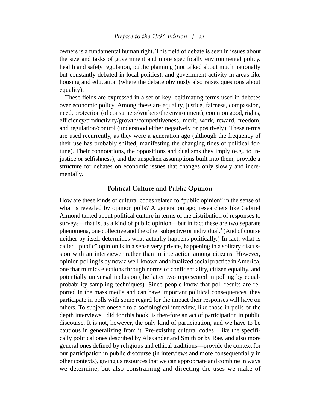#### Preface to the 1996 Edition / xi

owners is a fundamental human right. This field of debate is seen in issues about the size and tasks of government and more specifically environmental policy, health and safety regulation, public planning (not talked about much nationally but constantly debated in local politics), and government activity in areas like housing and education (where the debate obviously also raises questions about equality).

These fields are expressed in a set of key legitimating terms used in debates over economic policy. Among these are equality, justice, fairness, compassion, need, protection (of consumers/workers/the environment), common good, rights, efficiency/productivity/growth/competitiveness, merit, work, reward, freedom, and regulation/control (understood either negatively or positively). These terms are used recurrently, as they were a generation ago (although the frequency of their use has probably shifted, manifesting the changing tides of political fortune). Their connotations, the oppositions and dualisms they imply (e.g., to injustice or selfishness), and the unspoken assumptions built into them, provide a structure for debates on economic issues that changes only slowly and incrementally.

#### Political Culture and Public Opinion

How are these kinds of cultural codes related to "public opinion" in the sense of what is revealed by opinion polls? A generation ago, researchers like Gabriel Almond talked about political culture in terms of the distribution of responses to surveys—that is, as a kind of public opinion—but in fact these are two separate phenomena, one collective and the other subjective or individual.<sup>7</sup> (And of course neither by itself determines what actually happens politically.) In fact, what is called "public" opinion is in a sense very private, happening in a solitary discussion with an interviewer rather than in interaction among citizens. However, opinion polling is by now a well-known and ritualized social practice in America, one that mimics elections through norms of confidentiality, citizen equality, and potentially universal inclusion (the latter two represented in polling by equalprobability sampling techniques). Since people know that poll results are reported in the mass media and can have important political consequences, they participate in polls with some regard for the impact their responses will have on others. To subject oneself to a sociological interview, like those in polls or the depth interviews I did for this book, is therefore an act of participation in public discourse. It is not, however, the only kind of participation, and we have to be cautious in generalizing from it. Pre-existing cultural codes—like the specifically political ones described by Alexander and Smith or by Rae, and also more general ones defined by religious and ethical traditions—provide the context for our participation in public discourse (in interviews and more consequentially in other contexts), giving us resources that we can appropriate and combine in ways we determine, but also constraining and directing the uses we make of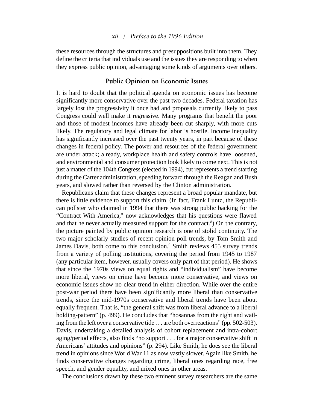#### xii / Preface to the 1996 Edition

these resources through the structures and presuppositions built into them. They define the criteria that individuals use and the issues they are responding to when they express public opinion, advantaging some kinds of arguments over others.

#### Public Opinion on Economic Issues

It is hard to doubt that the political agenda on economic issues has become significantly more conservative over the past two decades. Federal taxation has largely lost the progressivity it once had and proposals currently likely to pass Congress could well make it regressive. Many programs that benefit the poor and those of modest incomes have already been cut sharply, with more cuts likely. The regulatory and legal climate for labor is hostile. Income inequality has significantly increased over the past twenty years, in part because of these changes in federal policy. The power and resources of the federal government are under attack; already, workplace health and safety controls have loosened, and environmental and consumer protection look likely to come next. This is not just a matter of the 104th Congress (elected in 1994), but represents a trend starting during the Carter administration, speeding forward through the Reagan and Bush years, and slowed rather than reversed by the Clinton administration.

Republicans claim that these changes represent a broad popular mandate, but there is little evidence to support this claim. (In fact, Frank Luntz, the Republican pollster who claimed in 1994 that there was strong public backing for the "Contract With America," now acknowledges that his questions were flawed and that he never actually measured support for the contract. $\delta$ ) On the contrary, the picture painted by public opinion research is one of stolid continuity. The two major scholarly studies of recent opinion poll trends, by Tom Smith and James Davis, both come to this conclusion.<sup>9</sup> Smith reviews 455 survey trends from a variety of polling institutions, covering the period from 1945 to 1987 (any particular item, however, usually covers only part of that period). He shows that since the 1970s views on equal rights and "individualism" have become more liberal, views on crime have become more conservative, and views on economic issues show no clear trend in either direction. While over the entire post-war period there have been significantly more liberal than conservative trends, since the mid-1970s conservative and liberal trends have been about equally frequent. That is, "the general shift was from liberal advance to a liberal holding-pattern" (p. 499). He concludes that "hosannas from the right and wailing from the left over a conservative tide . . . are both overreactions" (pp. 502-503). Davis, undertaking a detailed analysis of cohort replacement and intra-cohort aging/period effects, also finds "no support . . . for a major conservative shift in Americans' attitudes and opinions" (p. 294). Like Smith, he does see the liberal trend in opinions since World War 11 as now vastly slower. Again like Smith, he finds conservative changes regarding crime, liberal ones regarding race, free speech, and gender equality, and mixed ones in other areas.

The conclusions drawn by these two eminent survey researchers are the same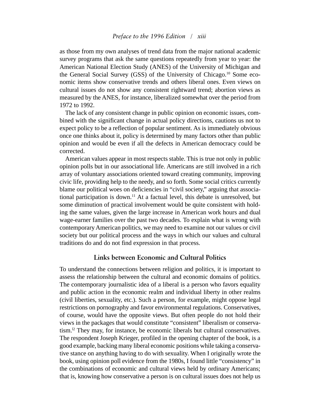#### Preface to the 1996 Edition / xiii

as those from my own analyses of trend data from the major national academic survey programs that ask the same questions repeatedly from year to year: the American National Election Study (ANES) of the University of Michigan and the General Social Survey (GSS) of the University of Chicago.10 Some economic items show conservative trends and others liberal ones. Even views on cultural issues do not show any consistent rightward trend; abortion views as measured by the ANES, for instance, liberalized somewhat over the period from 1972 to 1992.

The lack of any consistent change in public opinion on economic issues, combined with the significant change in actual policy directions, cautions us not to expect policy to be a reflection of popular sentiment. As is immediately obvious once one thinks about it, policy is determined by many factors other than public opinion and would be even if all the defects in American democracy could be corrected.

American values appear in most respects stable. This is true not only in public opinion polls but in our associational life. Americans are still involved in a rich array of voluntary associations oriented toward creating community, improving civic life, providing help to the needy, and so forth. Some social critics currently blame our political woes on deficiencies in "civil society," arguing that associational participation is down.<sup>11</sup> At a factual level, this debate is unresolved, but some diminution of practical involvement would be quite consistent with holding the same values, given the large increase in American work hours and dual wage-earner families over the past two decades. To explain what is wrong with contemporary American politics, we may need to examine not our values or civil society but our political process and the ways in which our values and cultural traditions do and do not find expression in that process.

#### Links between Economic and Cultural Politics

To understand the connections between religion and politics, it is important to assess the relationship between the cultural and economic domains of politics. The contemporary journalistic idea of a liberal is a person who favors equality and public action in the economic realm and individual liberty in other realms (civil liberties, sexuality, etc.). Such a person, for example, might oppose legal restrictions on pornography and favor environmental regulations. Conservatives, of course, would have the opposite views. But often people do not hold their views in the packages that would constitute "consistent" liberalism or conservatism.l2 They may, for instance, be economic liberals but cultural conservatives. The respondent Joseph Krieger, profiled in the opening chapter of the book, is a good example, backing many liberal economic positions while taking a conservative stance on anything having to do with sexuality. When I originally wrote the book, using opinion poll evidence from the 1980s, I found little "consistency" in the combinations of economic and cultural views held by ordinary Americans; that is, knowing how conservative a person is on cultural issues does not help us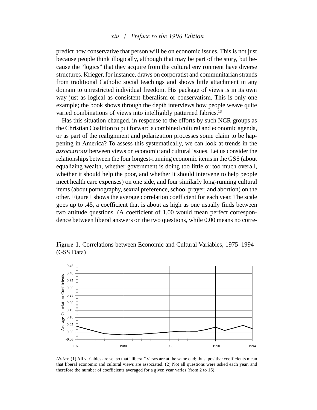#### xiv / Preface to the 1996 Edition

predict how conservative that person will be on economic issues. This is not just because people think illogically, although that may be part of the story, but because the "logics" that they acquire from the cultural environment have diverse structures. Krieger, for instance, draws on corporatist and communitarian strands from traditional Catholic social teachings and shows little attachment in any domain to unrestricted individual freedom. His package of views is in its own way just as logical as consistent liberalism or conservatism. This is only one example; the book shows through the depth interviews how people weave quite varied combinations of views into intelligibly patterned fabrics.<sup>13</sup>

Has this situation changed, in response to the efforts by such NCR groups as the Christian Coalition to put forward a combined cultural and economic agenda, or as part of the realignment and polarization processes some claim to be happening in America? To assess this systematically, we can look at trends in the associations between views on economic and cultural issues. Let us consider the relationships between the four longest-running economic items in the GSS (about equalizing wealth, whether government is doing too little or too much overall, whether it should help the poor, and whether it should intervene to help people meet health care expenses) on one side, and four similarly long-running cultural items (about pornography, sexual preference, school prayer, and abortion) on the other. Figure I shows the average correlation coefficient for each year. The scale goes up to .45, a coefficient that is about as high as one usually finds between two attitude questions. (A coefficient of 1.00 would mean perfect correspondence between liberal answers on the two questions, while 0.00 means no corre-



Figure 1. Correlations between Economic and Cultural Variables, 1975–1994 (GSS Data)

Notes: (1) All variables are set so that "liberal" views are at the same end; thus, positive coefficients mean that liberal economic and cultural views are associated. (2) Not all questions were asked each year, and therefore the number of coefficients averaged for a given year varies (from 2 to 16).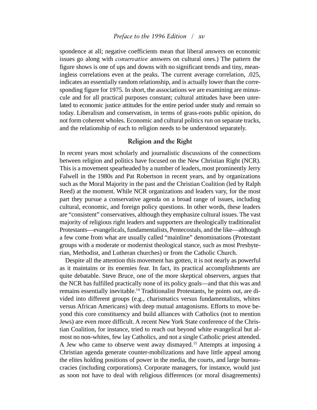#### Preface to the 1996 Edition / xv

spondence at all; negative coefficients mean that liberal answers on economic issues go along with conservative answers on cultural ones.) The pattern the figure shows is one of ups and downs with no significant trends and tiny, meaningless correlations even at the peaks. The current average correlation, .025, indicates an essentially random relationship, and is actually lower than the corresponding figure for 1975. In short, the associations we are examining are minuscule and for all practical purposes constant; cultural attitudes have been unrelated to economic justice attitudes for the entire period under study and remain so today. Liberalism and conservatism, in terms of grass-roots public opinion, do not form coherent wholes. Economic and cultural politics run on separate tracks, and the relationship of each to religion needs to be understood separately.

#### Religion and the Right

In recent years most scholarly and journalistic discussions of the connections between religion and politics have focused on the New Christian Right (NCR). This is a movement spearheaded by a number of leaders, most prominently Jerry Falwell in the 1980s and Pat Robertson in recent years, and by organizations such as the Moral Majority in the past and the Christian Coalition (led by Ralph Reed) at the moment. While NCR organizations and leaders vary, for the most part they pursue a conservative agenda on a broad range of issues, including cultural, economic, and foreign policy questions. In other words, these leaders are "consistent" conservatives, although they emphasize cultural issues. The vast majority of religious right leaders and supporters are theologically traditionalist Protestants—evangelicals, fundamentalists, Pentecostals, and the like—although a few come from what are usually called "mainline" denominations (Protestant groups with a moderate or modernist theological stance, such as most Presbyterian, Methodist, and Lutheran churches) or from the Catholic Church.

Despite all the attention this movement has gotten, it is not nearly as powerful as it maintains or its enemies fear. In fact, its practical accomplishments are quite debatable. Steve Bruce, one of the more skeptical observers, argues that the NCR has fulfilled practically none of its policy goals—and that this was and remains essentially inevitable.14 Traditionalist Protestants, he points out, are divided into different groups (e.g., charismatics versus fundamentalists, whites versus African Americans) with deep mutual antagonisms. Efforts to move beyond this core constituency and build alliances with Catholics (not to mention Jews) are even more difficult. A recent New York State conference of the Christian Coalition, for instance, tried to reach out beyond white evangelical but almost no non-whites, few lay Catholics, and not a single Catholic priest attended. A Jew who came to observe went away dismayed.15 Attempts at imposing a Christian agenda generate counter-mobilizations and have little appeal among the elites holding positions of power in the media, the courts, and large bureaucracies (including corporations). Corporate managers, for instance, would just as soon not have to deal with religious differences (or moral disagreements)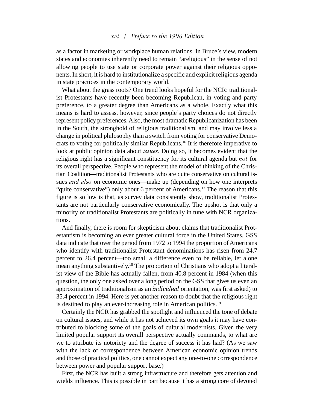as a factor in marketing or workplace human relations. In Bruce's view, modern states and economies inherently need to remain "areligious" in the sense of not allowing people to use state or corporate power against their religious opponents. In short, it is hard to institutionalize a specific and explicit religious agenda in state practices in the contemporary world.

What about the grass roots? One trend looks hopeful for the NCR: traditionalist Protestants have recently been becoming Republican, in voting and party preference, to a greater degree than Americans as a whole. Exactly what this means is hard to assess, however, since people's party choices do not directly represent policy preferences. Also, the most dramatic Republicanization has been in the South, the stronghold of religious traditionalism, and may involve less a change in political philosophy than a switch from voting for conservative Democrats to voting for politically similar Republicans.16 It is therefore imperative to look at public opinion data about issues. Doing so, it becomes evident that the religious right has a significant constituency for its cultural agenda but not for its overall perspective. People who represent the model of thinking of the Christian Coalition—traditionalist Protestants who are quite conservative on cultural issues *and also* on economic ones—make up (depending on how one interprets "quite conservative") only about 6 percent of Americans.<sup>17</sup> The reason that this figure is so low is that, as survey data consistently show, traditionalist Protestants are not particularly conservative economically. The upshot is that only a minority of traditionalist Protestants are politically in tune with NCR organizations.

And finally, there is room for skepticism about claims that traditionalist Protestantism is becoming an ever greater cultural force in the United States. GSS data indicate that over the period from 1972 to 1994 the proportion of Americans who identify with traditionalist Protestant denominations has risen from 24.7 percent to 26.4 percent—too small a difference even to be reliable, let alone mean anything substantively.18 The proportion of Christians who adopt a literalist view of the Bible has actually fallen, from 40.8 percent in 1984 (when this question, the only one asked over a long period on the GSS that gives us even an approximation of traditionalism as an *individual* orientation, was first asked) to 35.4 percent in 1994. Here is yet another reason to doubt that the religious right is destined to play an ever-increasing role in American politics.<sup>19</sup>

Certainly the NCR has grabbed the spotlight and influenced the tone of debate on cultural issues, and while it has not achieved its own goals it may have contributed to blocking some of the goals of cultural modernists. Given the very limited popular support its overall perspective actually commands, to what are we to attribute its notoriety and the degree of success it has had? (As we saw with the lack of correspondence between American economic opinion trends and those of practical politics, one cannot expect any one-to-one correspondence between power and popular support base.)

First, the NCR has built a strong infrastructure and therefore gets attention and wields influence. This is possible in part because it has a strong core of devoted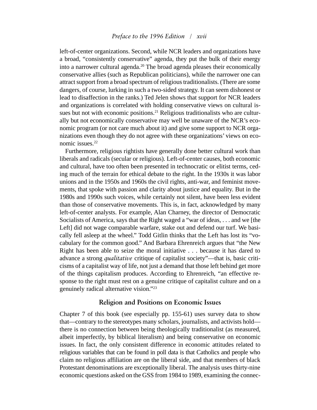#### Preface to the 1996 Edition / xvii

left-of-center organizations. Second, while NCR leaders and organizations have a broad, "consistently conservative" agenda, they put the bulk of their energy into a narrower cultural agenda.20 The broad agenda pleases their economically conservative allies (such as Republican politicians), while the narrower one can attract support from a broad spectrum of religious traditionalists. (There are some dangers, of course, lurking in such a two-sided strategy. It can seem dishonest or lead to disaffection in the ranks.) Ted Jelen shows that support for NCR leaders and organizations is correlated with holding conservative views on cultural issues but not with economic positions.<sup>21</sup> Religious traditionalists who are culturally but not economically conservative may well be unaware of the NCR's economic program (or not care much about it) and give some support to NCR organizations even though they do not agree with these organizations' views on economic issues.<sup>22</sup>

Furthermore, religious rightists have generally done better cultural work than liberals and radicals (secular or religious). Left-of-center causes, both economic and cultural, have too often been presented in technocratic or elitist terms, ceding much of the terrain for ethical debate to the right. In the 1930s it was labor unions and in the 1950s and 1960s the civil rights, anti-war, and feminist movements, that spoke with passion and clarity about justice and equality. But in the 1980s and 1990s such voices, while certainly not silent, have been less evident than those of conservative movements. This is, in fact, acknowledged by many left-of-center analysts. For example, Alan Charney, the director of Democratic Socialists of America, says that the Right waged a "war of ideas, . . . and we [the Left] did not wage comparable warfare, stake out and defend our turf. We basically fell asleep at the wheel." Todd Gitlin thinks that the Left has lost its "vocabulary for the common good." And Barbara Ehrenreich argues that "the New Right has been able to seize the moral initiative . . . because it has dared to advance a strong *qualitative* critique of capitalist society"—that is, basic criticisms of a capitalist way of life, not just a demand that those left behind get more of the things capitalism produces. According to Ehrenreich, "an effective response to the right must rest on a genuine critique of capitalist culture and on a genuinely radical alternative vision."23

#### Religion and Positions on Economic Issues

Chapter 7 of this book (see especially pp. 155-61) uses survey data to show that—contrary to the stereotypes many scholars, journalists, and activists hold there is no connection between being theologically traditionalist (as measured, albeit imperfectly, by biblical literalism) and being conservative on economic issues. In fact, the only consistent difference in economic attitudes related to religious variables that can be found in poll data is that Catholics and people who claim no religious affiliation are on the liberal side, and that members of black Protestant denominations are exceptionally liberal. The analysis uses thirty-nine economic questions asked on the GSS from 1984 to 1989, examining the connec-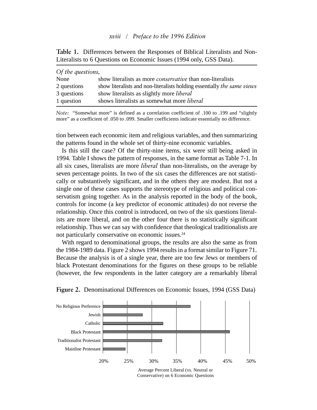| Table 1. Differences between the Responses of Biblical Literalists and Non- |  |  |  |  |
|-----------------------------------------------------------------------------|--|--|--|--|
| Literalists to 6 Questions on Economic Issues (1994 only, GSS Data).        |  |  |  |  |

| Of the questions, |                                                                         |  |  |  |  |
|-------------------|-------------------------------------------------------------------------|--|--|--|--|
| None              | show literalists as more <i>conservative</i> than non-literalists       |  |  |  |  |
| 2 questions       | show literalists and non-literalists holding essentially the same views |  |  |  |  |
| 3 questions       | show literalists as slightly more <i>liberal</i>                        |  |  |  |  |
| 1 question        | shows literalists as somewhat more <i>liberal</i>                       |  |  |  |  |

Note:"Somewhat more" is defined as a correlation coefficient of .100 to .199 and "slightly more" as a coefficient of .050 to .099. Smaller coefficients indicate essentially no difference.

tion between each economic item and religious variables, and then summarizing the patterns found in the whole set of thirty-nine economic variables.

Is this still the case? Of the thirty-nine items, six were still being asked in 1994. Table I shows the pattern of responses, in the same format as Table 7-1. In all six cases, literalists are more liberal than non-literalists, on the average by seven percentage points. In two of the six cases the differences are not statistically or substantively significant, and in the others they are modest. But not a single one of these cases supports the stereotype of religious and political conservatism going together. As in the analysis reported in the body of the book, controls for income (a key predictor of economic attitudes) do not reverse the relationship. Once this control is introduced, on two of the six questions literalists are more liberal, and on the other four there is no statistically significant relationship. Thus we can say with confidence that theological traditionalists are not particularly conservative on economic issues.24

With regard to denominational groups, the results are also the same as from the 1984-1989 data. Figure 2 shows 1994 results in a format similar to Figure 71. Because the analysis is of a single year, there are too few Jews or members of black Protestant denominations for the figures on these groups to be reliable (however, the few respondents in the latter category are a remarkably liberal





Conservative) on 6 Economic Questions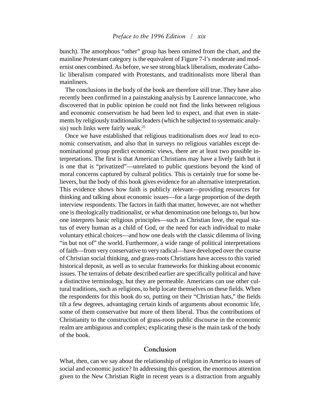#### Preface to the 1996 Edition / xix

bunch). The amorphous "other" group has been omitted from the chart, and the mainline Protestant category is the equivalent of Figure 7-l's moderate and modernist ones combined. As before, we see strong black liberalism, moderate Catholic liberalism compared with Protestants, and traditionalists more liberal than mainliners.

The conclusions in the body of the book are therefore still true. They have also recently been confirmed in a painstaking analysis by Laurence lannaccone, who discovered that in public opinion he could not find the links between religious and economic conservatism he had been led to expect, and that even in statements by religiously traditionalist leaders (which he subjected to systematic analysis) such links were fairly weak.<sup>25</sup>

Once we have established that religious traditionalism does not lead to economic conservatism, and also that in surveys no religious variables except denominational group predict economic views, there are at least two possible interpretations. The first is that American Christians may have a lively faith but it is one that is "privatized"—unrelated to public questions beyond the kind of moral concerns captured by cultural politics. This is certainly true for some believers, but the body of this book gives evidence for an alternative interpretation. This evidence shows how faith is publicly relevant—providing resources for thinking and talking about economic issues—for a large proportion of the depth interview respondents. The factors in faith that matter, however, are not whether one is theologically traditionalist, or what denomination one belongs to, but how one interprets basic religious principles—such as Christian love, the equal status of every human as a child of God, or the need for each individual to make voluntary ethical choices—and how one deals with the classic dilemma of living "in but not of" the world. Furthermore, a wide range of political interpretations of faith—from very conservative to very radical—have developed over the course of Christian social thinking, and grass-roots Christians have access to this varied historical deposit, as well as to secular frameworks for thinking about economic issues. The terrains of debate described earlier are specifically political and have a distinctive terminology, but they are permeable. Americans can use other cultural traditions, such as religions, to help locate themselves on these fields. When the respondents for this book do so, putting on their "Christian hats," the fields tilt a few degrees, advantaging certain kinds of arguments about economic life, some of them conservative but more of them liberal. Thus the contributions of Christianity to the construction of grass-roots public discourse in the economic realm are ambiguous and complex; explicating these is the main task of the body of the book.

#### Conclusion

What, then, can we say about the relationship of religion in America to issues of social and economic justice? In addressing this question, the enormous attention given to the New Christian Right in recent years is a distraction from arguably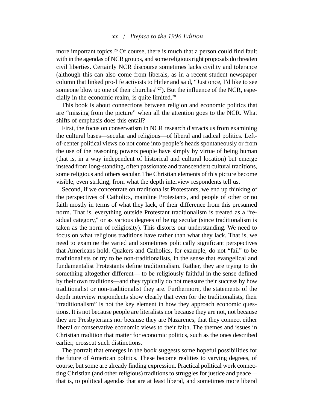#### xx / Preface to the 1996 Edition

more important topics.<sup>26</sup> Of course, there is much that a person could find fault with in the agendas of NCR groups, and some religious right proposals do threaten civil liberties. Certainly NCR discourse sometimes lacks civility and tolerance (although this can also come from liberals, as in a recent student newspaper column that linked pro-life activists to Hitler and said, "Just once, I'd like to see someone blow up one of their churches"<sup>27</sup>). But the influence of the NCR, especially in the economic realm, is quite limited.28

This book is about connections between religion and economic politics that are "missing from the picture" when all the attention goes to the NCR. What shifts of emphasis does this entail?

First, the focus on conservatism in NCR research distracts us from examining the cultural bases—secular and religious—of liberal and radical politics. Leftof-center political views do not come into people's heads spontaneously or from the use of the reasoning powers people have simply by virtue of being human (that is, in a way independent of historical and cultural location) but emerge instead from long-standing, often passionate and transcendent cultural traditions, some religious and others secular. The Christian elements of this picture become visible, even striking, from what the depth interview respondents tell us.

Second, if we concentrate on traditionalist Protestants, we end up thinking of the perspectives of Catholics, mainline Protestants, and people of other or no faith mostly in terms of what they lack, of their difference from this presumed norm. That is, everything outside Protestant traditionalism is treated as a "residual category," or as various degrees of being secular (since traditionalism is taken as the norm of religiosity). This distorts our understanding. We need to focus on what religious traditions have rather than what they lack. That is, we need to examine the varied and sometimes politically significant perspectives that Americans hold. Quakers and Catholics, for example, do not "fail" to be traditionalists or try to be non-traditionalists, in the sense that evangelical and fundamentalist Protestants define traditionalism. Rather, they are trying to do something altogether different— to be religiously faithful in the sense defined by their own traditions—and they typically do not measure their success by how traditionalist or non-traditionalist they are. Furthermore, the statements of the depth interview respondents show clearly that even for the traditionalists, their "traditionalism" is not the key element in how they approach economic questions. It is not because people are literalists nor because they are not, not because they are Presbyterians nor because they are Nazarenes, that they connect either liberal or conservative economic views to their faith. The themes and issues in Christian tradition that matter for economic politics, such as the ones described earlier, crosscut such distinctions.

The portrait that emerges in the book suggests some hopeful possibilities for the future of American politics. These become realities to varying degrees, of course, but some are already finding expression. Practical political work connecting Christian (and other religious) traditions to struggles for justice and peace that is, to political agendas that are at least liberal, and sometimes more liberal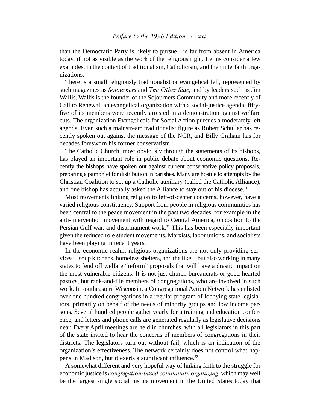#### Preface to the 1996 Edition / xxi

than the Democratic Party is likely to pursue—is far from absent in America today, if not as visible as the work of the religious right. Let us consider a few examples, in the context of traditionalism, Catholicism, and then interfaith organizations.

There is a small religiously traditionalist or evangelical left, represented by such magazines as *Sojourners* and *The Other Side*, and by leaders such as Jim Wallis. Wallis is the founder of the Sojourners Community and more recently of Call to Renewal, an evangelical organization with a social-justice agenda; fiftyfive of its members were recently arrested in a demonstration against welfare cuts. The organization Evangelicals for Social Action pursues a moderately left agenda. Even such a mainstream traditionalist figure as Robert Schuller has recently spoken out against the message of the NCR, and Billy Graham has for decades foresworn his former conservatism.29

The Catholic Church, most obviously through the statements of its bishops, has played an important role in public debate about economic questions. Recently the bishops have spoken out against current conservative policy proposals, preparing a pamphlet for distribution in parishes. Many are hostile to attempts by the Christian Coalition to set up a Catholic auxiliary (called the Catholic Alliance), and one bishop has actually asked the Alliance to stay out of his diocese.<sup>30</sup>

Most movements linking religion to left-of-center concerns, however, have a varied religious constituency. Support from people in religious communities has been central to the peace movement in the past two decades, for example in the anti-intervention movement with regard to Central America, opposition to the Persian Gulf war, and disarmament work.<sup>31</sup> This has been especially important given the reduced role student movements, Marxists, labor unions, and socialists have been playing in recent years.

In the economic realm, religious organizations are not only providing services—soup kitchens, homeless shelters, and the like—but also working in many states to fend off welfare "reform" proposals that will have a drastic impact on the most vulnerable citizens. It is not just church bureaucrats or good-hearted pastors, but rank-and-file members of congregations, who are involved in such work. In southeastern Wisconsin, a Congregational Action Network has enlisted over one hundred congregations in a regular program of lobbying state legislators, primarily on behalf of the needs of minority groups and low income persons. Several hundred people gather yearly for a training and education conference, and letters and phone calls are generated regularly as legislative decisions near. Every April meetings are held in churches, with all legislators in this part of the state invited to hear the concerns of members of congregations in their districts. The legislators turn out without fail, which is an indication of the organization's effectiveness. The network certainly does not control what happens in Madison, but it exerts a significant influence.32

A somewhat different and very hopeful way of linking faith to the struggle for economic justice is congregation-based community organizing, which may well be the largest single social justice movement in the United States today that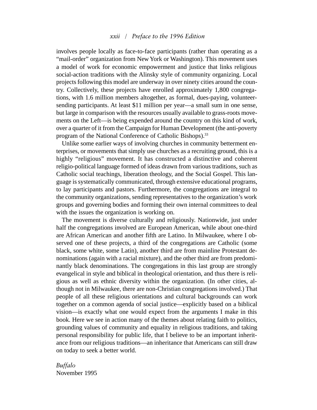#### xxii / Preface to the 1996 Edition

involves people locally as face-to-face participants (rather than operating as a "mail-order" organization from New York or Washington). This movement uses a model of work for economic empowerment and justice that links religious social-action traditions with the Alinsky style of community organizing. Local projects following this model are underway in over ninety cities around the country. Collectively, these projects have enrolled approximately 1,800 congregations, with 1.6 million members altogether, as formal, dues-paying, volunteersending participants. At least \$11 million per year—a small sum in one sense, but large in comparison with the resources usually available to grass-roots movements on the Left—is being expended around the country on this kind of work, over a quarter of it from the Campaign for Human Development (the anti-poverty program of the National Conference of Catholic Bishops).<sup>33</sup>

Unlike some earlier ways of involving churches in community betterment enterprises, or movements that simply use churches as a recruiting ground, this is a highly "religious" movement. It has constructed a distinctive and coherent religio-political language formed of ideas drawn from various traditions, such as Catholic social teachings, liberation theology, and the Social Gospel. This language is systematically communicated, through extensive educational programs, to lay participants and pastors. Furthermore, the congregations are integral to the community organizations, sending representatives to the organization's work groups and governing bodies and forming their own internal committees to deal with the issues the organization is working on.

The movement is diverse culturally and religiously. Nationwide, just under half the congregations involved are European American, while about one-third are African American and another fifth are Latino. In Milwaukee, where I observed one of these projects, a third of the congregations are Catholic (some black, some white, some Latin), another third are from mainline Protestant denominations (again with a racial mixture), and the other third are from predominantly black denominations. The congregations in this last group are strongly evangelical in style and biblical in theological orientation, and thus there is religious as well as ethnic diversity within the organization. (In other cities, although not in Milwaukee, there are non-Christian congregations involved.) That people of all these religious orientations and cultural backgrounds can work together on a common agenda of social justice—explicitly based on a biblical vision—is exactly what one would expect from the arguments I make in this book. Here we see in action many of the themes about relating faith to politics, grounding values of community and equality in religious traditions, and taking personal responsibility for public life, that I believe to be an important inheritance from our religious traditions—an inheritance that Americans can still draw on today to seek a better world.

Buffalo November 1995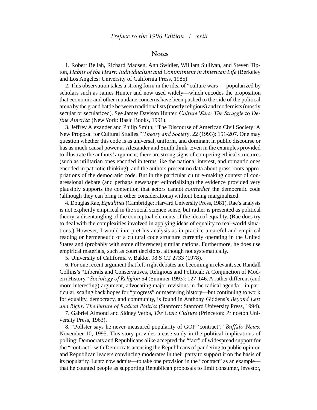#### **Notes**

1. Robert Bellah, Richard Madsen, Ann Swidler, William Sullivan, and Steven Tipton, Habits of the Heart: Individualism and Commitment in American Life (Berkeley and Los Angeles: University of California Press, 1985).

2. This observation takes a strong form in the idea of "culture wars"—popularized by scholars such as James Hunter and now used widely—which encodes the proposition that economic and other mundane concerns have been pushed to the side of the political arena by the grand battle between traditionalists (mostly religious) and modernists (mostly secular or secularized). See James Davison Hunter, Culture Wars: The Struggle to Define America (New York: Basic Books, 1991).

3. Jeffrey Alexander and Philip Smith, "The Discourse of American Civil Society: A New Proposal for Cultural Studies." Theory and Society, 22 (1993): 151-207. One may question whether this code is as universal, uniform, and dominant in public discourse or has as much causal power as Alexander and Smith think. Even in the examples provided to illustrate the authors' argument, there are strong signs of competing ethical structures (such as utilitarian ones encoded in terms like the national interest, and romantic ones encoded in patriotic thinking), and the authors present no data about grass-roots appropriations of the democratic code. But in the particular culture-making context of congressional debate (and perhaps newspaper editorializing) the evidence provided very plausibly supports the contention that actors cannot contradict the democratic code (although they can bring in other considerations) without being marginalized.

4. Douglas Rae, *Equalities* (Cambridge: Harvard University Press, 1981). Rae's analysis is not explicitly empirical in the social science sense, but rather is presented as political theory, a disentangling of the conceptual elements of the idea of equality. (Rae does try to deal with the complexities involved in applying ideas of equality to real-world situations.) However, I would interpret his analysis as in practice a careful and empirical reading or hermeneutic of a cultural code structure currently operating in the United States and (probably with some differences) similar nations. Furthermore, he does use empirical materials, such as court decisions, although not systematically.

5. University of California v. Bakke, 98 S CT 2733 (1978).

6. For one recent argument that left-right debates are becoming irrelevant, see Randall Collins's "Liberals and Conservatives, Religious and Political: A Conjunction of Modern History," Sociology of Religion 54 (Summer 1993): 127-146. A rather different (and more interesting) argument, advocating major revisions in the radical agenda—in particular, scaling back hopes for "progress" or mastering history—but continuing to work for equality, democracy, and community, is found in Anthony Giddens's Beyond Left and Right: The Future of Radical Politics (Stanford: Stanford University Press, 1994).

7. Gabriel Almond and Sidney Verba, The Civic Culture (Princeton: Princeton University Press, 1963).

8. "Pollster says he never measured popularity of GOP 'contract'," Buffalo News, November 10, 1995. This story provides a case study in the political implications of polling: Democrats and Republicans alike accepted the "fact" of widespread support for the "contract," with Democrats accusing the Republicans of pandering to public opinion and Republican leaders convincing moderates in their party to support it on the basis of its popularity. Luntz now admits—to take one provision in the "contract" as an example that he counted people as supporting Republican proposals to limit consumer, investor,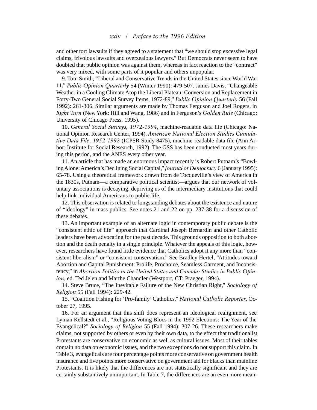and other tort lawsuits if they agreed to a statement that "we should stop excessive legal claims, frivolous lawsuits and overzealous lawyers." But Democrats never seem to have doubted that public opinion was against them, whereas in fact reaction to the "contract" was very mixed, with some parts of it popular and others unpopular.

9. Tom Smith, "Liberal and Conservative Trends in the United States since World War 11," Public Opinion Quarterly 54 (Winter 1990): 479-507. James Davis, "Changeable Weather in a Cooling Climate Atop the Liberal Plateau: Conversion and Replacement in Forty-Two General Social Survey Items, 1972-89," Public Opinion Quarterly 56 (Fall 1992): 261-306. Similar arguments are made by Thomas Ferguson and Joel Rogers, in Right Turn (New York: Hill and Wang, 1986) and in Ferguson's Golden Rule (Chicago: University of Chicago Press, 1995).

10. General Social Surveys, 1972-1994, machine-readable data file (Chicago: National Opinion Research Center, 1994). American National Election Studies Cumulative Data File, 1952-1992 (ICPSR Study 8475), machine-readable data file (Ann Arbor: Institute for Social Research, 1992). The GSS has been conducted most years during this period, and the ANES every other year.

11. An article that has made an enormous impact recently is Robert Putnam's "Bowling Alone: America's Declining Social Capital," Journal of Democracy 6 (January 1995): 65-78. Using a theoretical framework drawn from de Tocqueville's view of America in the 1830s, Putnam—a comparative political scientist—argues that our network of voluntary associations is decaying, depriving us of the intermediary institutions that could help link individual Americans to public life.

12. This observation is related to longstanding debates about the existence and nature of "ideology" in mass publics. See notes 21 and 22 on pp. 237-38 for a discussion of these debates.

13. An important example of an alternate logic in contemporary public debate is the "consistent ethic of life" approach that Cardinal Joseph Bernardin and other Catholic leaders have been advocating for the past decade. This grounds opposition to both abortion and the death penalty in a single principle. Whatever the appeals of this logic, however, researchers have found little evidence that Catholics adopt it any more than "consistent liberalism" or "consistent conservatism." See Bradley Hertel, "Attitudes toward Abortion and Capital Punishment: Prolife, Prochoice, Seamless Garment, and Inconsistency," in Abortion Politics in the United States and Canada: Studies in Public Opinion, ed. Ted Jelen and Marthe Chandler (Westport, CT: Praeger, 1994).

14. Steve Bruce, "The Inevitable Failure of the New Christian Right," Sociology of Religion 55 (Fall 1994): 229-42.

15. "Coalition Fishing for 'Pro-family' Catholics," National Catholic Reporter, October 27, 1995.

16. For an argument that this shift does represent an ideological realignment, see Lyman Kellstedt et al., "Religious Voting Blocs in the 1992 Elections: The Year of the Evangelical?" Sociology of Religion 55 (Fall 1994): 307-26. These researchers make claims, not supported by others or even by their own data, to the effect that traditionalist Protestants are conservative on economic as well as cultural issues. Most of their tables contain no data on economic issues, and the two exceptions do not support this claim. In Table 3, evangelicals are four percentage points more conservative on government health insurance and five points more conservative on government aid for blacks than mainline Protestants. It is likely that the differences are not statistically significant and they are certainly substantively unimportant. In Table 7, the differences are an even more mean-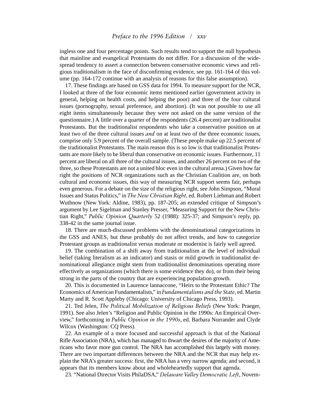#### Preface to the 1996 Edition / xxv

ingless one and four percentage points. Such results tend to support the null hypothesis that mainline and evangelical Protestants do not differ. For a discussion of the widespread tendency to assert a connection between conservative economic views and religious traditionalism in the face of disconfirming evidence, see pp. 161-164 of this volume (pp. 164-172 continue with an analysis of reasons for this false assumption).

17. These findings are based on GSS data for 1994. To measure support for the NCR, I looked at three of the four economic items mentioned earlier (government activity in general, helping on health costs, and helping the poor) and three of the four cultural issues (pornography, sexual preference, and abortion). (It was not possible to use all eight items simultaneously because they were not asked on the same version of the questionnaire.) A little over a quarter of the respondents (26.4 percent) are traditionalist Protestants. But the traditionalist respondents who take a conservative position on at least two of the three cultural issues and on at least two of the three economic issues, comprise only 5.9 percent of the overall sample. (These people make up 22.5 percent of the traditionalist Protestants. The main reason this is so low is that traditionalist Protestants are more likely to be liberal than conservative on economic issues. Furthermore, 11 percent are liberal on all three of the cultural issues, and another 26 percent on two of the three, so these Protestants are not a united bloc even in the cultural arena.) Given how far right the positions of NCR organizations such as the Christian Coalition are, on both cultural and economic issues, this way of measuring NCR support seems fair, perhaps even generous. For a debate on the size of the religious right, see John Simpson, "Moral Issues and Status Politics," in The New Christian Right, ed. Robert Liebman and Robert Wuthnow (New York: Aldine, 1983), pp. 187-205; an extended critique of Simpson's argument by Lee Sigelman and Stanley Presser, "Measuring Support for the New Christian Right," Public Opinion Quarterly 52 (1988): 325-37; and Simpson's reply, pp. 338-42 in the same journal issue.

18. There are much-discussed problems with the denominational categorizations in the GSS and ANES, but these probably do not affect trends, and how to categorize Protestant groups as traditionalist versus moderate or modernist is fairly well agreed.

19. The combination of a shift away from traditionalism at the level of individual belief (taking literalism as an indicator) and stasis or mild growth in traditionalist denominational allegiance might stem from traditionalist denominations operating more effectively as organizations (which there is some evidence they do), or from their being strong in the parts of the country that are experiencing population growth.

20. This is documented in Laurence lannaccone, "Heirs to the Protestant Ethic? The Economics of American Fundamentalists," in Fundamentalisms and the State, ed. Martin Marty and R. Scott Appleby (Chicago: University of Chicago Press, 1993).

21. Ted Jelen, The Political Mobilization of Religious Beliefs (New York: Praeger, 1991). See also Jelen's "Religion and Public Opinion in the 1990s: An Empirical Overview," forthcoming in Public Opinion in the 1990s, ed. Barbara Norrander and Clyde Wilcox (Washington: CQ Press).

22. An example of a more focused and successful approach is that of the National Rifle Association (NRA), which has managed to thwart the desires of the majority of Americans who favor more gun control. The NRA has accomplished this largely with money. There are two important differences between the NRA and the NCR that may help explain the NRA's greater success: first, the NRA has a very narrow agenda; and second, it appears that its members know about and wholeheartedly support that agenda.

23. "National Director Visits PhilaDSA," Delaware Valley Democratic Left, Novem-